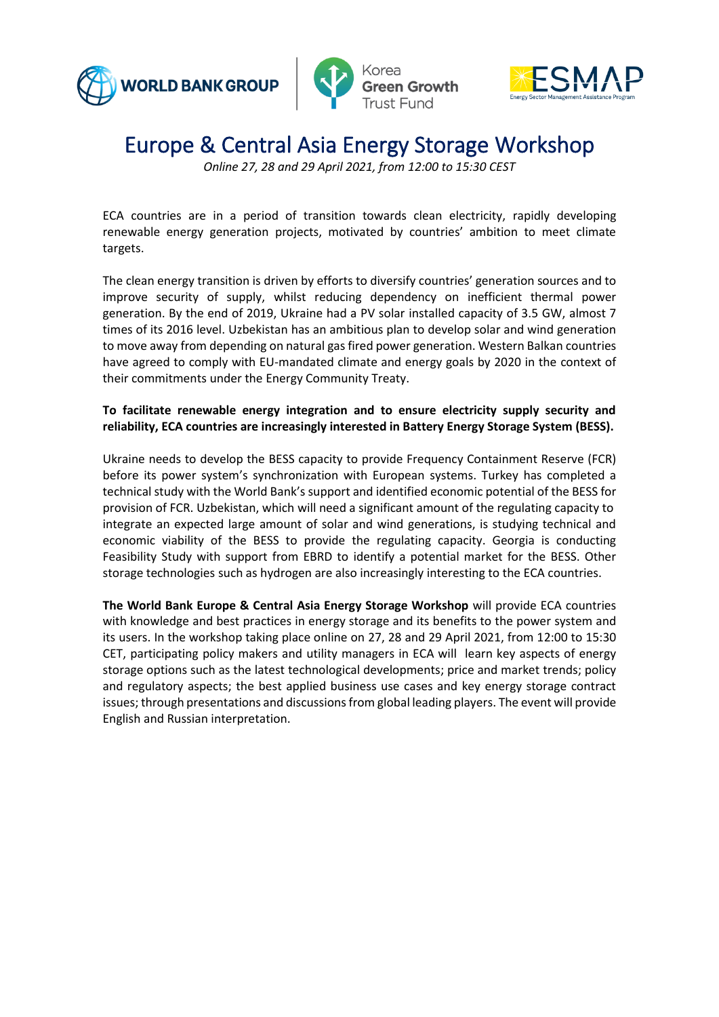





*Online 27, 28 and 29 April 2021, from 12:00 to 15:30 CEST*

ECA countries are in a period of transition towards clean electricity, rapidly developing renewable energy generation projects, motivated by countries' ambition to meet climate targets.

The clean energy transition is driven by efforts to diversify countries' generation sources and to improve security of supply, whilst reducing dependency on inefficient thermal power generation. By the end of 2019, Ukraine had a PV solar installed capacity of 3.5 GW, almost 7 times of its 2016 level. Uzbekistan has an ambitious plan to develop solar and wind generation to move away from depending on natural gas fired power generation. Western Balkan countries have agreed to comply with EU-mandated climate and energy goals by 2020 in the context of their commitments under the Energy Community Treaty.

#### **To facilitate renewable energy integration and to ensure electricity supply security and reliability, ECA countries are increasingly interested in Battery Energy Storage System (BESS).**

Ukraine needs to develop the BESS capacity to provide Frequency Containment Reserve (FCR) before its power system's synchronization with European systems. Turkey has completed a technical study with the World Bank's support and identified economic potential of the BESS for provision of FCR. Uzbekistan, which will need a significant amount of the regulating capacity to integrate an expected large amount of solar and wind generations, is studying technical and economic viability of the BESS to provide the regulating capacity. Georgia is conducting Feasibility Study with support from EBRD to identify a potential market for the BESS. Other storage technologies such as hydrogen are also increasingly interesting to the ECA countries.

**The World Bank Europe & Central Asia Energy Storage Workshop** will provide ECA countries with knowledge and best practices in energy storage and its benefits to the power system and its users. In the workshop taking place online on 27, 28 and 29 April 2021, from 12:00 to 15:30 CET, participating policy makers and utility managers in ECA will learn key aspects of energy storage options such as the latest technological developments; price and market trends; policy and regulatory aspects; the best applied business use cases and key energy storage contract issues; through presentations and discussions from global leading players. The event will provide English and Russian interpretation.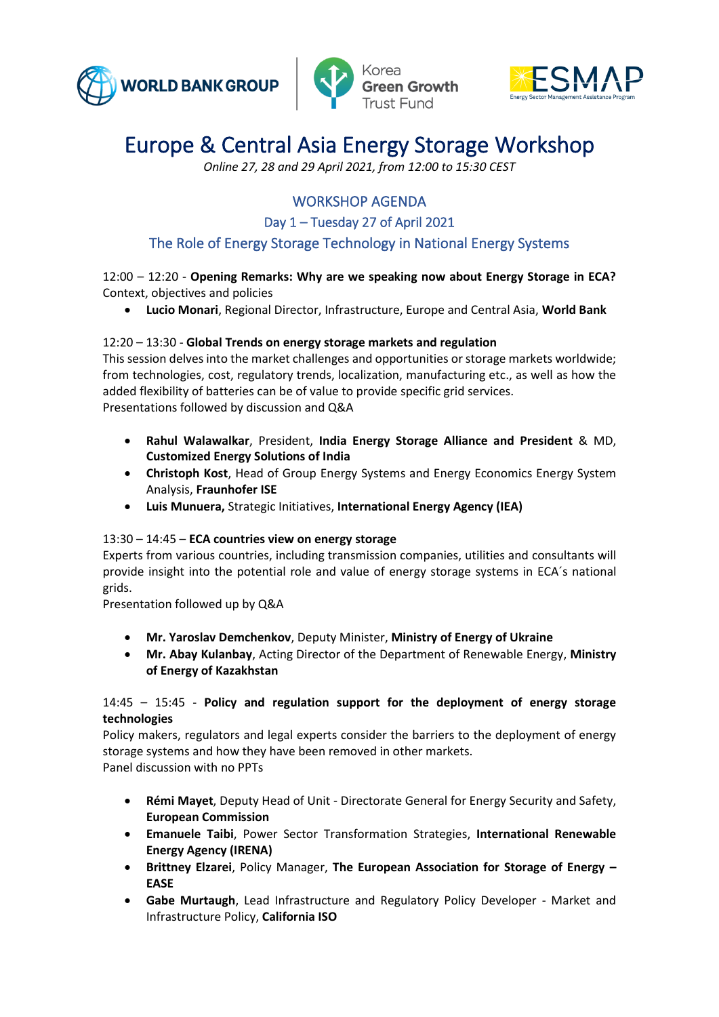





*Online 27, 28 and 29 April 2021, from 12:00 to 15:30 CEST*

### WORKSHOP AGENDA

Day 1 – Tuesday 27 of April 2021

### The Role of Energy Storage Technology in National Energy Systems

#### 12:00 – 12:20 - **Opening Remarks: Why are we speaking now about Energy Storage in ECA?**  Context, objectives and policies

• **Lucio Monari**, Regional Director, Infrastructure, Europe and Central Asia, **World Bank**

#### 12:20 – 13:30 - **Global Trends on energy storage markets and regulation**

This session delves into the market challenges and opportunities or storage markets worldwide; from technologies, cost, regulatory trends, localization, manufacturing etc., as well as how the added flexibility of batteries can be of value to provide specific grid services. Presentations followed by discussion and Q&A

- **Rahul Walawalkar**, President, **India Energy Storage Alliance and President** & MD, **Customized Energy Solutions of India**
- **Christoph Kost**, Head of Group Energy Systems and Energy Economics Energy System Analysis, **Fraunhofer ISE**
- **Luis Munuera,** Strategic Initiatives, **International Energy Agency (IEA)**

#### 13:30 – 14:45 – **ECA countries view on energy storage**

Experts from various countries, including transmission companies, utilities and consultants will provide insight into the potential role and value of energy storage systems in ECA´s national grids.

Presentation followed up by Q&A

- **Mr. Yaroslav Demchenkov**, Deputy Minister, **Ministry of Energy of Ukraine**
- **Mr. Abay Kulanbay**, Acting Director of the Department of Renewable Energy, **Ministry of Energy of Kazakhstan**

#### 14:45 – 15:45 - **Policy and regulation support for the deployment of energy storage technologies**

Policy makers, regulators and legal experts consider the barriers to the deployment of energy storage systems and how they have been removed in other markets.

Panel discussion with no PPTs

- **Rémi Mayet**, Deputy Head of Unit Directorate General for Energy Security and Safety, **European Commission**
- **Emanuele Taibi**, Power Sector Transformation Strategies, **International Renewable Energy Agency (IRENA)**
- **Brittney Elzarei**, Policy Manager, **The European Association for Storage of Energy – EASE**
- **Gabe Murtaugh**, Lead Infrastructure and Regulatory Policy Developer Market and Infrastructure Policy, **California ISO**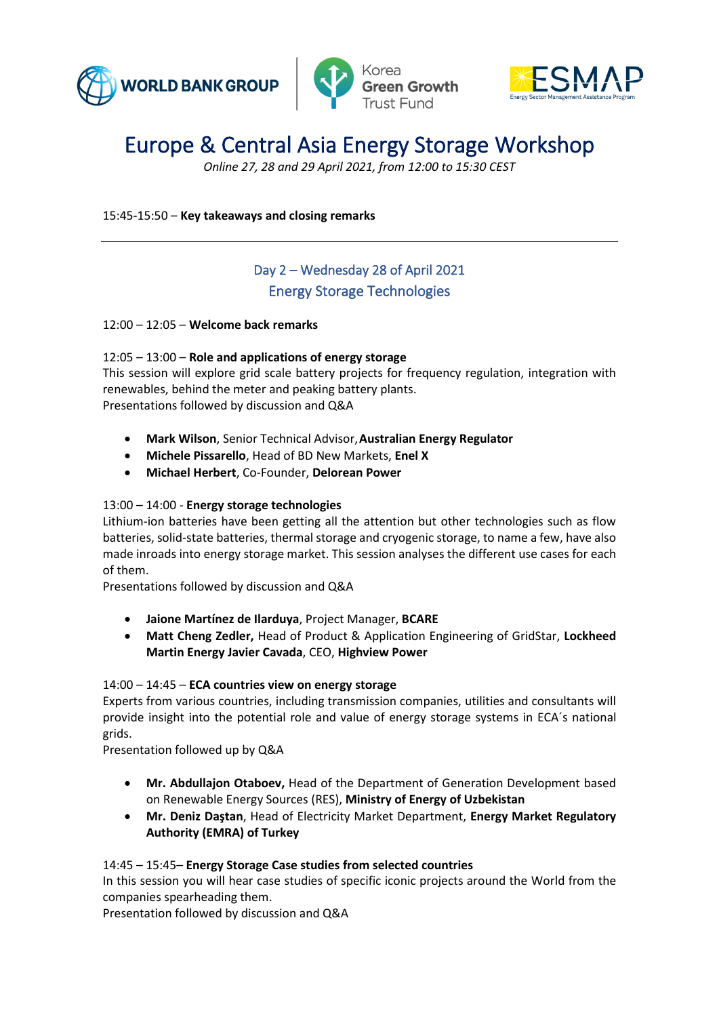





*Online 27, 28 and 29 April 2021, from 12:00 to 15:30 CEST*

15:45-15:50 – **Key takeaways and closing remarks**

### Day 2 – Wednesday 28 of April 2021 Energy Storage Technologies

#### 12:00 – 12:05 – **Welcome back remarks**

#### 12:05 – 13:00 – **Role and applications of energy storage**

This session will explore grid scale battery projects for frequency regulation, integration with renewables, behind the meter and peaking battery plants. Presentations followed by discussion and Q&A

- **Mark Wilson**, Senior Technical Advisor,**Australian Energy Regulator**
- **Michele Pissarello**, Head of BD New Markets, **Enel X**
- **Michael Herbert**, Co-Founder, **Delorean Power**

#### 13:00 – 14:00 - **Energy storage technologies**

Lithium-ion batteries have been getting all the attention but other technologies such as flow batteries, solid-state batteries, thermal storage and cryogenic storage, to name a few, have also made inroads into energy storage market. This session analyses the different use cases for each of them.

Presentations followed by discussion and Q&A

- **Jaione Martínez de Ilarduya**, Project Manager, **BCARE**
- **Matt Cheng Zedler,** Head of Product & Application Engineering of GridStar, **Lockheed Martin Energy Javier Cavada**, CEO, **Highview Power**

#### 14:00 – 14:45 – **ECA countries view on energy storage**

Experts from various countries, including transmission companies, utilities and consultants will provide insight into the potential role and value of energy storage systems in ECA´s national grids.

Presentation followed up by Q&A

- **Mr. Abdullajon Otaboev,** Head of the Department of Generation Development based on Renewable Energy Sources (RES), **Ministry of Energy of Uzbekistan**
- **Mr. Deniz Daştan**, Head of Electricity Market Department, **Energy Market Regulatory Authority (EMRA) of Turkey**

#### 14:45 – 15:45– **Energy Storage Case studies from selected countries**

In this session you will hear case studies of specific iconic projects around the World from the companies spearheading them.

Presentation followed by discussion and Q&A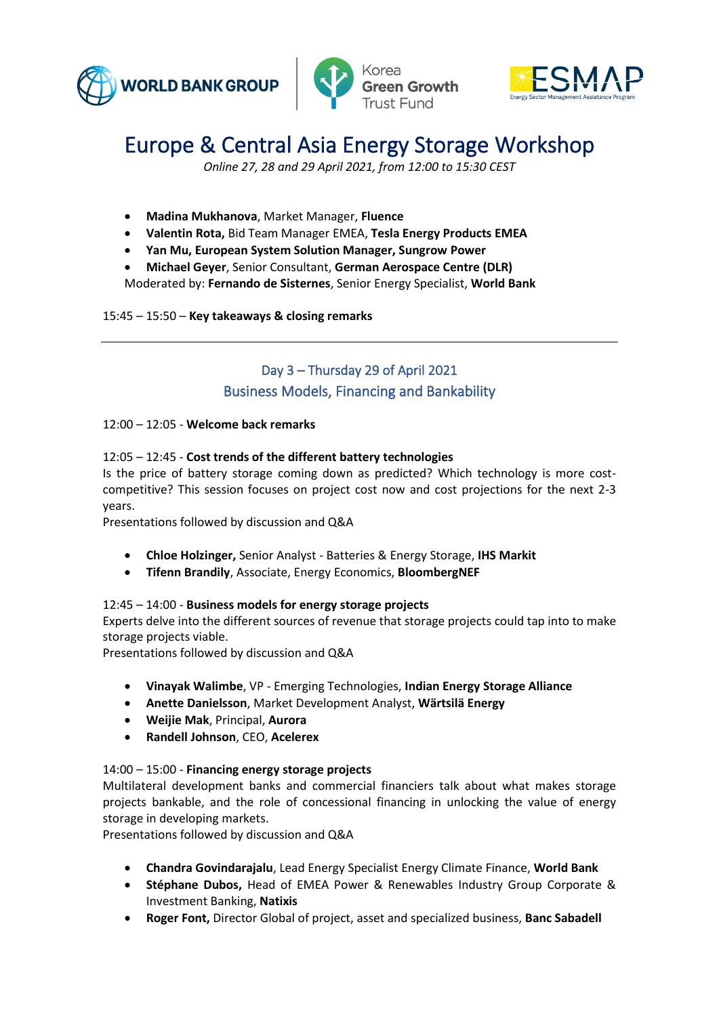





*Online 27, 28 and 29 April 2021, from 12:00 to 15:30 CEST*

- **Madina Mukhanova**, Market Manager, **Fluence**
- **Valentin Rota,** Bid Team Manager EMEA, **Tesla Energy Products EMEA**
- **Yan Mu, European System Solution Manager, Sungrow Power**
- **Michael Geyer**, Senior Consultant, **German Aerospace Centre (DLR)** Moderated by: **Fernando de Sisternes**, Senior Energy Specialist, **World Bank**

#### 15:45 – 15:50 – **Key takeaways & closing remarks**

### Day 3 – Thursday 29 of April 2021 Business Models, Financing and Bankability

#### 12:00 – 12:05 - **Welcome back remarks**

#### 12:05 – 12:45 - **Cost trends of the different battery technologies**

Is the price of battery storage coming down as predicted? Which technology is more costcompetitive? This session focuses on project cost now and cost projections for the next 2-3 years.

Presentations followed by discussion and Q&A

- **Chloe Holzinger,** Senior Analyst Batteries & Energy Storage, **IHS Markit**
- **Tifenn Brandily**, Associate, Energy Economics, **BloombergNEF**

#### 12:45 – 14:00 - **Business models for energy storage projects**

Experts delve into the different sources of revenue that storage projects could tap into to make storage projects viable.

Presentations followed by discussion and Q&A

- **Vinayak Walimbe**, VP Emerging Technologies, **Indian Energy Storage Alliance**
- **Anette Danielsson**, Market Development Analyst, **Wärtsilä Energy**
- **Weijie Mak**, Principal, **Aurora**
- **Randell Johnson**, CEO, **Acelerex**

#### 14:00 – 15:00 - **Financing energy storage projects**

Multilateral development banks and commercial financiers talk about what makes storage projects bankable, and the role of concessional financing in unlocking the value of energy storage in developing markets.

Presentations followed by discussion and Q&A

- **Chandra Govindarajalu**, Lead Energy Specialist Energy Climate Finance, **World Bank**
- **Stéphane Dubos,** Head of EMEA Power & Renewables Industry Group Corporate & Investment Banking, **Natixis**
- **Roger Font,** Director Global of project, asset and specialized business, **Banc Sabadell**